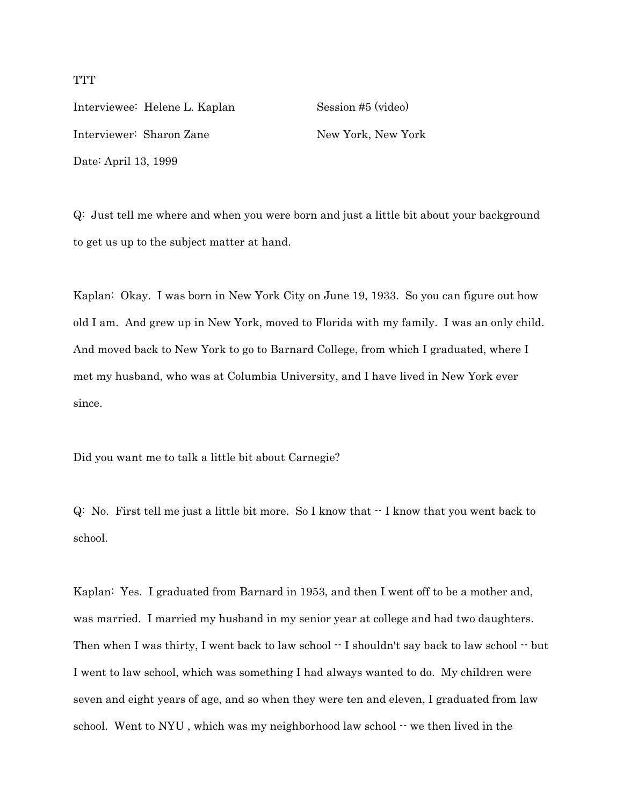Interviewee: Helene L. Kaplan Session #5 (video) Interviewer: Sharon Zane New York, New York Date: April 13, 1999

Q: Just tell me where and when you were born and just a little bit about your background to get us up to the subject matter at hand.

Kaplan: Okay. I was born in New York City on June 19, 1933. So you can figure out how old I am. And grew up in New York, moved to Florida with my family. I was an only child. And moved back to New York to go to Barnard College, from which I graduated, where I met my husband, who was at Columbia University, and I have lived in New York ever since.

Did you want me to talk a little bit about Carnegie?

 $Q:$  No. First tell me just a little bit more. So I know that  $-I$  know that you went back to school.

Kaplan: Yes. I graduated from Barnard in 1953, and then I went off to be a mother and, was married. I married my husband in my senior year at college and had two daughters. Then when I was thirty, I went back to law school  $\cdot \cdot$  I shouldn't say back to law school  $\cdot \cdot$  but I went to law school, which was something I had always wanted to do. My children were seven and eight years of age, and so when they were ten and eleven, I graduated from law school. Went to NYU, which was my neighborhood law school  $\cdot$  we then lived in the

**TTT**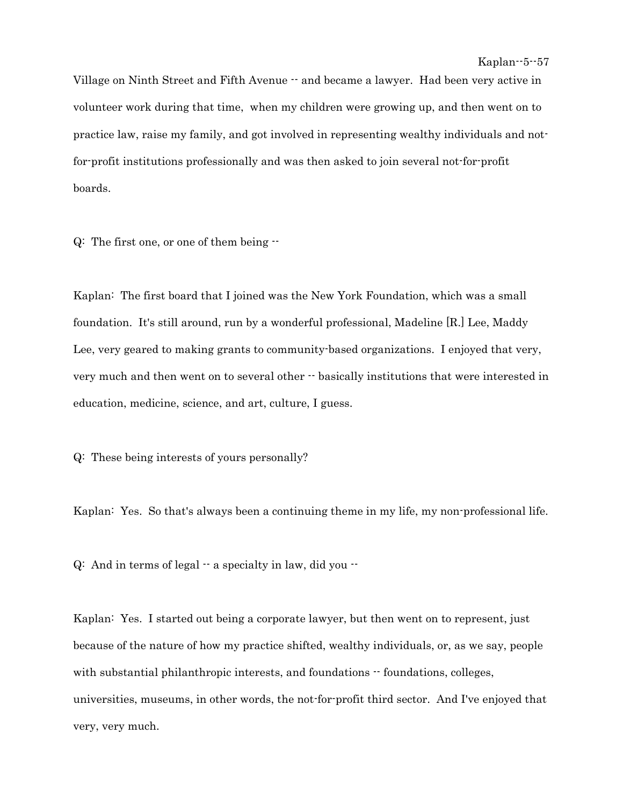Village on Ninth Street and Fifth Avenue -- and became a lawyer. Had been very active in volunteer work during that time, when my children were growing up, and then went on to practice law, raise my family, and got involved in representing wealthy individuals and notfor-profit institutions professionally and was then asked to join several not-for-profit boards.

Q: The first one, or one of them being --

Kaplan: The first board that I joined was the New York Foundation, which was a small foundation. It's still around, run by a wonderful professional, Madeline [R.] Lee, Maddy Lee, very geared to making grants to community-based organizations. I enjoyed that very, very much and then went on to several other -- basically institutions that were interested in education, medicine, science, and art, culture, I guess.

Q: These being interests of yours personally?

Kaplan: Yes. So that's always been a continuing theme in my life, my non-professional life.

 $Q:$  And in terms of legal  $-$  a specialty in law, did you  $-$ 

Kaplan: Yes. I started out being a corporate lawyer, but then went on to represent, just because of the nature of how my practice shifted, wealthy individuals, or, as we say, people with substantial philanthropic interests, and foundations  $-$  foundations, colleges, universities, museums, in other words, the not-for-profit third sector. And I've enjoyed that very, very much.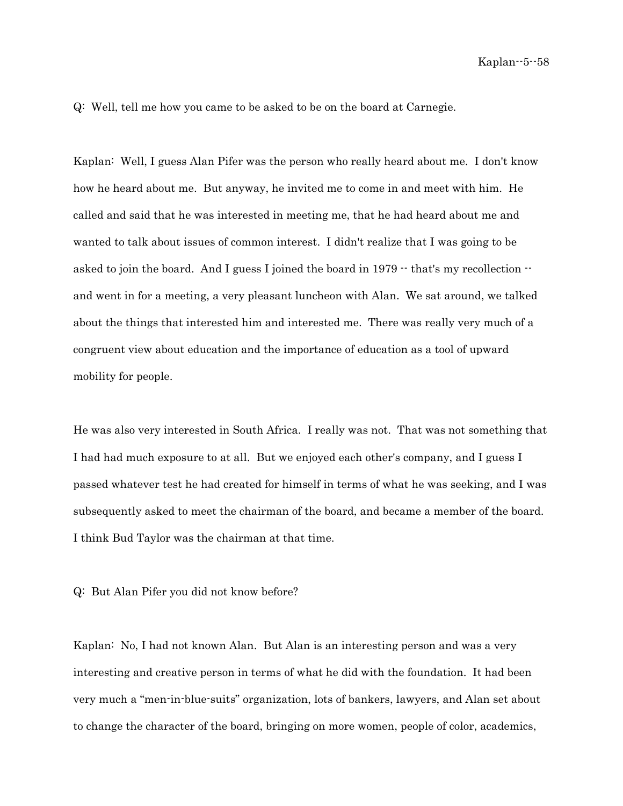Q: Well, tell me how you came to be asked to be on the board at Carnegie.

Kaplan: Well, I guess Alan Pifer was the person who really heard about me. I don't know how he heard about me. But anyway, he invited me to come in and meet with him. He called and said that he was interested in meeting me, that he had heard about me and wanted to talk about issues of common interest. I didn't realize that I was going to be asked to join the board. And I guess I joined the board in  $1979 -$  that's my recollection  $$ and went in for a meeting, a very pleasant luncheon with Alan. We sat around, we talked about the things that interested him and interested me. There was really very much of a congruent view about education and the importance of education as a tool of upward mobility for people.

He was also very interested in South Africa. I really was not. That was not something that I had had much exposure to at all. But we enjoyed each other's company, and I guess I passed whatever test he had created for himself in terms of what he was seeking, and I was subsequently asked to meet the chairman of the board, and became a member of the board. I think Bud Taylor was the chairman at that time.

Q: But Alan Pifer you did not know before?

Kaplan: No, I had not known Alan. But Alan is an interesting person and was a very interesting and creative person in terms of what he did with the foundation. It had been very much a "men-in-blue-suits" organization, lots of bankers, lawyers, and Alan set about to change the character of the board, bringing on more women, people of color, academics,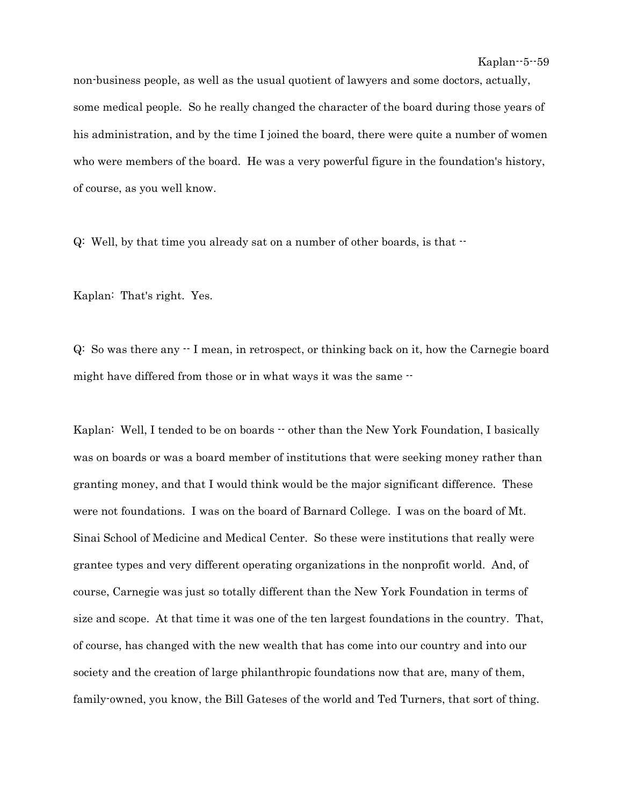non-business people, as well as the usual quotient of lawyers and some doctors, actually, some medical people. So he really changed the character of the board during those years of his administration, and by the time I joined the board, there were quite a number of women who were members of the board. He was a very powerful figure in the foundation's history, of course, as you well know.

 $Q:$  Well, by that time you already sat on a number of other boards, is that  $\cdot$ 

Kaplan: That's right. Yes.

Q: So was there any -- I mean, in retrospect, or thinking back on it, how the Carnegie board might have differed from those or in what ways it was the same  $-$ 

Kaplan: Well, I tended to be on boards  $-$  other than the New York Foundation, I basically was on boards or was a board member of institutions that were seeking money rather than granting money, and that I would think would be the major significant difference. These were not foundations. I was on the board of Barnard College. I was on the board of Mt. Sinai School of Medicine and Medical Center. So these were institutions that really were grantee types and very different operating organizations in the nonprofit world. And, of course, Carnegie was just so totally different than the New York Foundation in terms of size and scope. At that time it was one of the ten largest foundations in the country. That, of course, has changed with the new wealth that has come into our country and into our society and the creation of large philanthropic foundations now that are, many of them, family-owned, you know, the Bill Gateses of the world and Ted Turners, that sort of thing.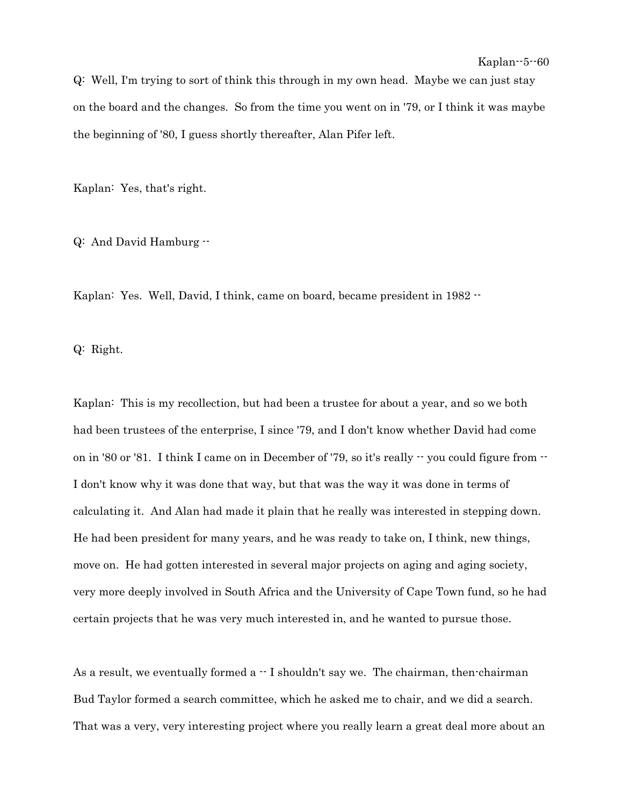Q: Well, I'm trying to sort of think this through in my own head. Maybe we can just stay on the board and the changes. So from the time you went on in '79, or I think it was maybe the beginning of '80, I guess shortly thereafter, Alan Pifer left.

Kaplan: Yes, that's right.

Q: And David Hamburg --

Kaplan: Yes. Well, David, I think, came on board, became president in 1982 --

Q: Right.

Kaplan: This is my recollection, but had been a trustee for about a year, and so we both had been trustees of the enterprise, I since '79, and I don't know whether David had come on in '80 or '81. I think I came on in December of '79, so it's really  $\cdot \cdot$  you could figure from  $\cdot \cdot$ I don't know why it was done that way, but that was the way it was done in terms of calculating it. And Alan had made it plain that he really was interested in stepping down. He had been president for many years, and he was ready to take on, I think, new things, move on. He had gotten interested in several major projects on aging and aging society, very more deeply involved in South Africa and the University of Cape Town fund, so he had certain projects that he was very much interested in, and he wanted to pursue those.

As a result, we eventually formed  $a - I$  shouldn't say we. The chairman, then-chairman Bud Taylor formed a search committee, which he asked me to chair, and we did a search. That was a very, very interesting project where you really learn a great deal more about an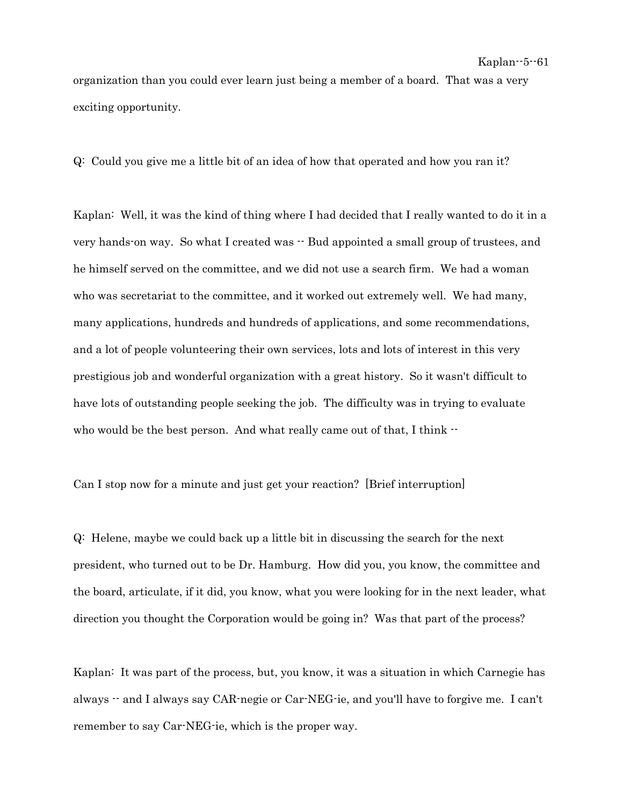organization than you could ever learn just being a member of a board. That was a very exciting opportunity.

Q: Could you give me a little bit of an idea of how that operated and how you ran it?

Kaplan: Well, it was the kind of thing where I had decided that I really wanted to do it in a very hands-on way. So what I created was  $\cdot$  Bud appointed a small group of trustees, and he himself served on the committee, and we did not use a search firm. We had a woman who was secretariat to the committee, and it worked out extremely well. We had many, many applications, hundreds and hundreds of applications, and some recommendations, and a lot of people volunteering their own services, lots and lots of interest in this very prestigious job and wonderful organization with a great history. So it wasn't difficult to have lots of outstanding people seeking the job. The difficulty was in trying to evaluate who would be the best person. And what really came out of that, I think  $-$ 

Can I stop now for a minute and just get your reaction? [Brief interruption]

Q: Helene, maybe we could back up a little bit in discussing the search for the next president, who turned out to be Dr. Hamburg. How did you, you know, the committee and the board, articulate, if it did, you know, what you were looking for in the next leader, what direction you thought the Corporation would be going in? Was that part of the process?

Kaplan: It was part of the process, but, you know, it was a situation in which Carnegie has always -- and I always say CAR-negie or Car-NEG-ie, and you'll have to forgive me. I can't remember to say Car-NEG-ie, which is the proper way.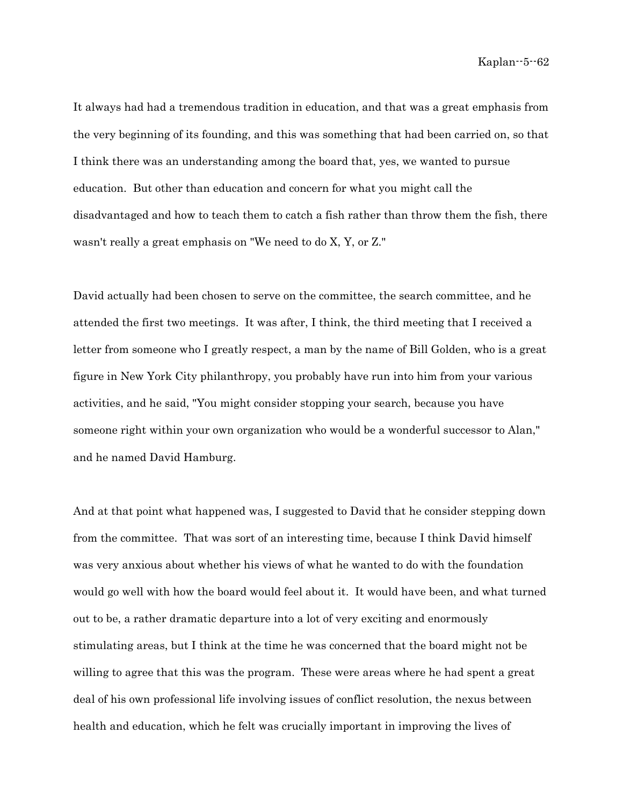It always had had a tremendous tradition in education, and that was a great emphasis from the very beginning of its founding, and this was something that had been carried on, so that I think there was an understanding among the board that, yes, we wanted to pursue education. But other than education and concern for what you might call the disadvantaged and how to teach them to catch a fish rather than throw them the fish, there wasn't really a great emphasis on "We need to do X, Y, or Z."

David actually had been chosen to serve on the committee, the search committee, and he attended the first two meetings. It was after, I think, the third meeting that I received a letter from someone who I greatly respect, a man by the name of Bill Golden, who is a great figure in New York City philanthropy, you probably have run into him from your various activities, and he said, "You might consider stopping your search, because you have someone right within your own organization who would be a wonderful successor to Alan," and he named David Hamburg.

And at that point what happened was, I suggested to David that he consider stepping down from the committee. That was sort of an interesting time, because I think David himself was very anxious about whether his views of what he wanted to do with the foundation would go well with how the board would feel about it. It would have been, and what turned out to be, a rather dramatic departure into a lot of very exciting and enormously stimulating areas, but I think at the time he was concerned that the board might not be willing to agree that this was the program. These were areas where he had spent a great deal of his own professional life involving issues of conflict resolution, the nexus between health and education, which he felt was crucially important in improving the lives of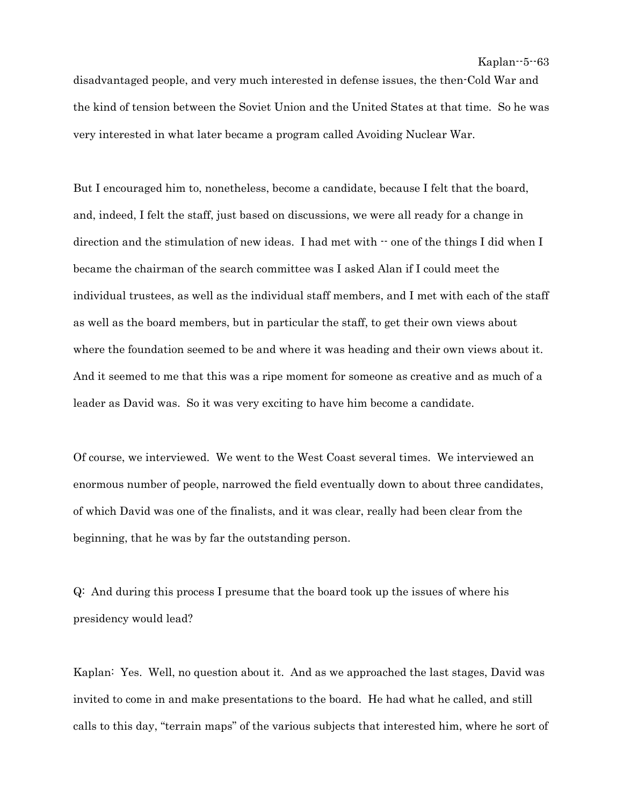disadvantaged people, and very much interested in defense issues, the then-Cold War and the kind of tension between the Soviet Union and the United States at that time. So he was very interested in what later became a program called Avoiding Nuclear War.

But I encouraged him to, nonetheless, become a candidate, because I felt that the board, and, indeed, I felt the staff, just based on discussions, we were all ready for a change in direction and the stimulation of new ideas. I had met with  $\cdot$  one of the things I did when I became the chairman of the search committee was I asked Alan if I could meet the individual trustees, as well as the individual staff members, and I met with each of the staff as well as the board members, but in particular the staff, to get their own views about where the foundation seemed to be and where it was heading and their own views about it. And it seemed to me that this was a ripe moment for someone as creative and as much of a leader as David was. So it was very exciting to have him become a candidate.

Of course, we interviewed. We went to the West Coast several times. We interviewed an enormous number of people, narrowed the field eventually down to about three candidates, of which David was one of the finalists, and it was clear, really had been clear from the beginning, that he was by far the outstanding person.

Q: And during this process I presume that the board took up the issues of where his presidency would lead?

Kaplan: Yes. Well, no question about it. And as we approached the last stages, David was invited to come in and make presentations to the board. He had what he called, and still calls to this day, "terrain maps" of the various subjects that interested him, where he sort of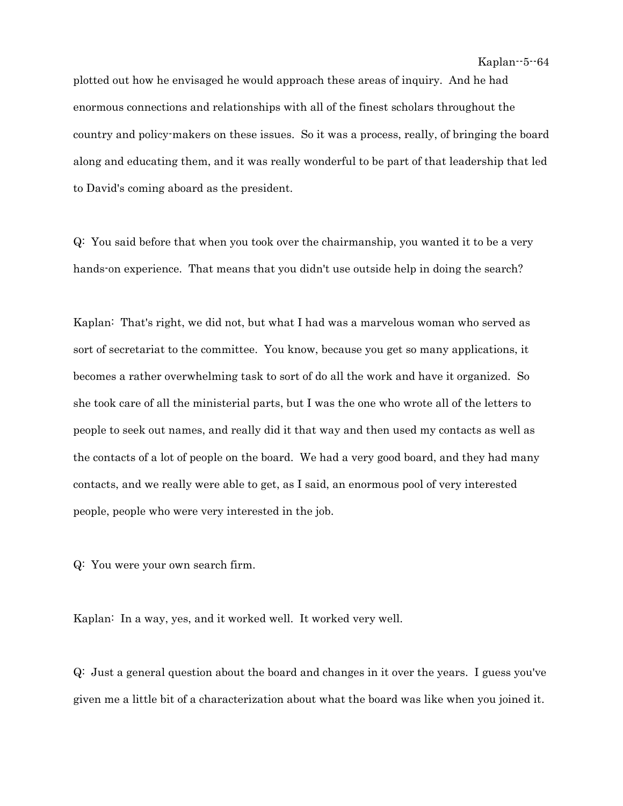plotted out how he envisaged he would approach these areas of inquiry. And he had enormous connections and relationships with all of the finest scholars throughout the country and policy-makers on these issues. So it was a process, really, of bringing the board along and educating them, and it was really wonderful to be part of that leadership that led to David's coming aboard as the president.

Q: You said before that when you took over the chairmanship, you wanted it to be a very hands-on experience. That means that you didn't use outside help in doing the search?

Kaplan: That's right, we did not, but what I had was a marvelous woman who served as sort of secretariat to the committee. You know, because you get so many applications, it becomes a rather overwhelming task to sort of do all the work and have it organized. So she took care of all the ministerial parts, but I was the one who wrote all of the letters to people to seek out names, and really did it that way and then used my contacts as well as the contacts of a lot of people on the board. We had a very good board, and they had many contacts, and we really were able to get, as I said, an enormous pool of very interested people, people who were very interested in the job.

Q: You were your own search firm.

Kaplan: In a way, yes, and it worked well. It worked very well.

Q: Just a general question about the board and changes in it over the years. I guess you've given me a little bit of a characterization about what the board was like when you joined it.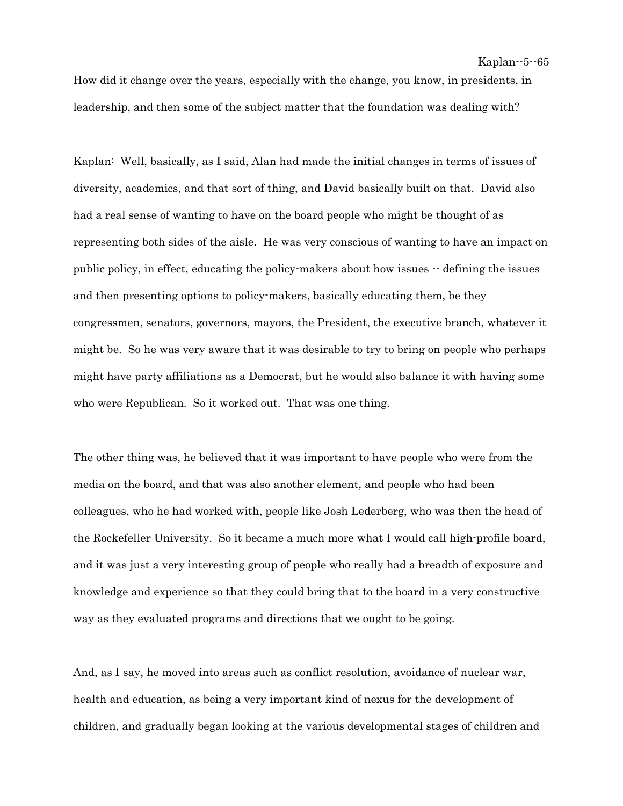How did it change over the years, especially with the change, you know, in presidents, in leadership, and then some of the subject matter that the foundation was dealing with?

Kaplan: Well, basically, as I said, Alan had made the initial changes in terms of issues of diversity, academics, and that sort of thing, and David basically built on that. David also had a real sense of wanting to have on the board people who might be thought of as representing both sides of the aisle. He was very conscious of wanting to have an impact on public policy, in effect, educating the policy-makers about how issues -- defining the issues and then presenting options to policy-makers, basically educating them, be they congressmen, senators, governors, mayors, the President, the executive branch, whatever it might be. So he was very aware that it was desirable to try to bring on people who perhaps might have party affiliations as a Democrat, but he would also balance it with having some who were Republican. So it worked out. That was one thing.

The other thing was, he believed that it was important to have people who were from the media on the board, and that was also another element, and people who had been colleagues, who he had worked with, people like Josh Lederberg, who was then the head of the Rockefeller University. So it became a much more what I would call high-profile board, and it was just a very interesting group of people who really had a breadth of exposure and knowledge and experience so that they could bring that to the board in a very constructive way as they evaluated programs and directions that we ought to be going.

And, as I say, he moved into areas such as conflict resolution, avoidance of nuclear war, health and education, as being a very important kind of nexus for the development of children, and gradually began looking at the various developmental stages of children and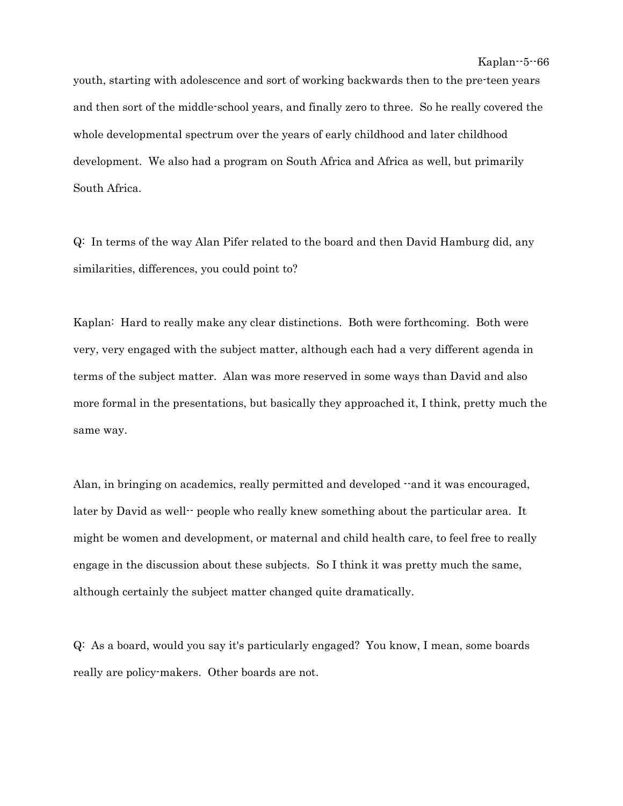youth, starting with adolescence and sort of working backwards then to the pre-teen years and then sort of the middle-school years, and finally zero to three. So he really covered the whole developmental spectrum over the years of early childhood and later childhood development. We also had a program on South Africa and Africa as well, but primarily South Africa.

Q: In terms of the way Alan Pifer related to the board and then David Hamburg did, any similarities, differences, you could point to?

Kaplan: Hard to really make any clear distinctions. Both were forthcoming. Both were very, very engaged with the subject matter, although each had a very different agenda in terms of the subject matter. Alan was more reserved in some ways than David and also more formal in the presentations, but basically they approached it, I think, pretty much the same way.

Alan, in bringing on academics, really permitted and developed  $\cdot$ -and it was encouraged, later by David as well-- people who really knew something about the particular area. It might be women and development, or maternal and child health care, to feel free to really engage in the discussion about these subjects. So I think it was pretty much the same, although certainly the subject matter changed quite dramatically.

Q: As a board, would you say it's particularly engaged? You know, I mean, some boards really are policy-makers. Other boards are not.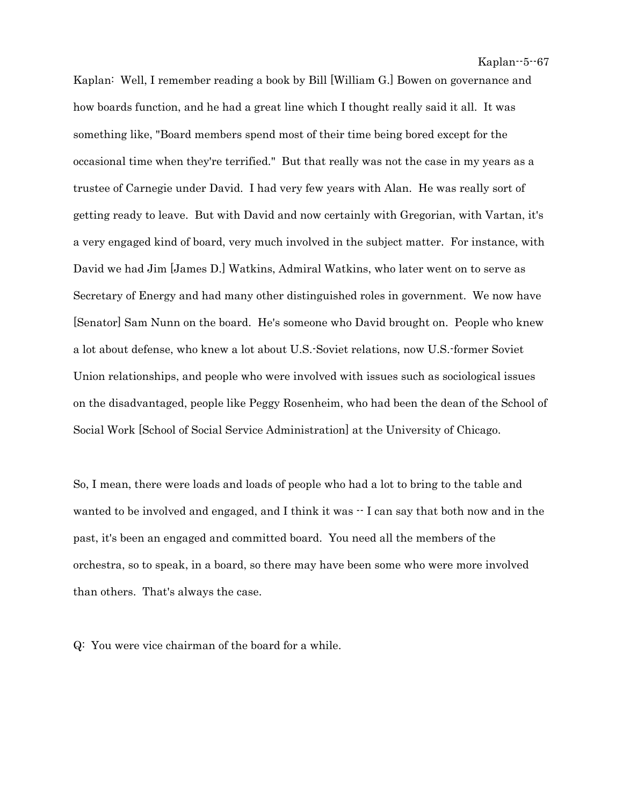Kaplan: Well, I remember reading a book by Bill [William G.] Bowen on governance and how boards function, and he had a great line which I thought really said it all. It was something like, "Board members spend most of their time being bored except for the occasional time when they're terrified." But that really was not the case in my years as a trustee of Carnegie under David. I had very few years with Alan. He was really sort of getting ready to leave. But with David and now certainly with Gregorian, with Vartan, it's a very engaged kind of board, very much involved in the subject matter. For instance, with David we had Jim [James D.] Watkins, Admiral Watkins, who later went on to serve as Secretary of Energy and had many other distinguished roles in government. We now have [Senator] Sam Nunn on the board. He's someone who David brought on. People who knew a lot about defense, who knew a lot about U.S.-Soviet relations, now U.S.-former Soviet Union relationships, and people who were involved with issues such as sociological issues on the disadvantaged, people like Peggy Rosenheim, who had been the dean of the School of Social Work [School of Social Service Administration] at the University of Chicago.

So, I mean, there were loads and loads of people who had a lot to bring to the table and wanted to be involved and engaged, and I think it was  $\cdot$  I can say that both now and in the past, it's been an engaged and committed board. You need all the members of the orchestra, so to speak, in a board, so there may have been some who were more involved than others. That's always the case.

Q: You were vice chairman of the board for a while.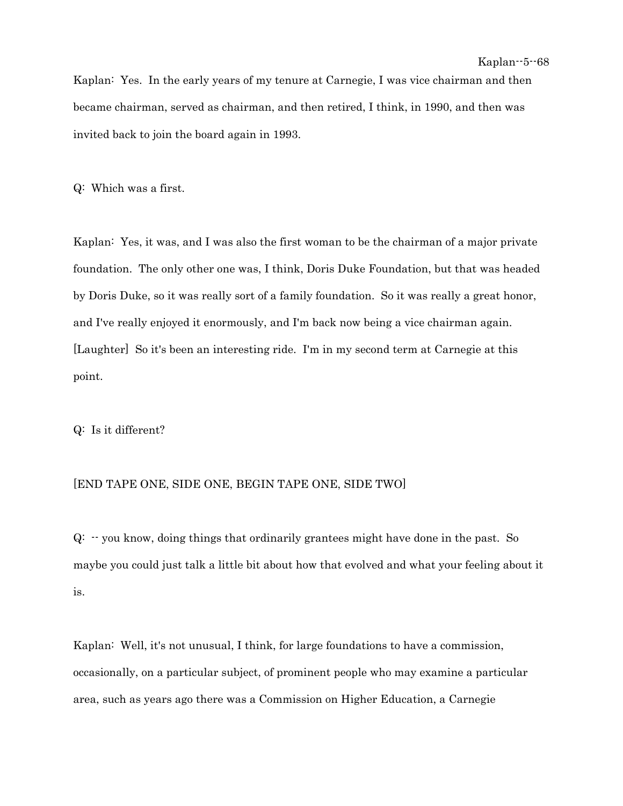Kaplan: Yes. In the early years of my tenure at Carnegie, I was vice chairman and then became chairman, served as chairman, and then retired, I think, in 1990, and then was invited back to join the board again in 1993.

Q: Which was a first.

Kaplan: Yes, it was, and I was also the first woman to be the chairman of a major private foundation. The only other one was, I think, Doris Duke Foundation, but that was headed by Doris Duke, so it was really sort of a family foundation. So it was really a great honor, and I've really enjoyed it enormously, and I'm back now being a vice chairman again. [Laughter] So it's been an interesting ride. I'm in my second term at Carnegie at this point.

Q: Is it different?

## [END TAPE ONE, SIDE ONE, BEGIN TAPE ONE, SIDE TWO]

 $Q: -$  you know, doing things that ordinarily grantees might have done in the past. So maybe you could just talk a little bit about how that evolved and what your feeling about it is.

Kaplan: Well, it's not unusual, I think, for large foundations to have a commission, occasionally, on a particular subject, of prominent people who may examine a particular area, such as years ago there was a Commission on Higher Education, a Carnegie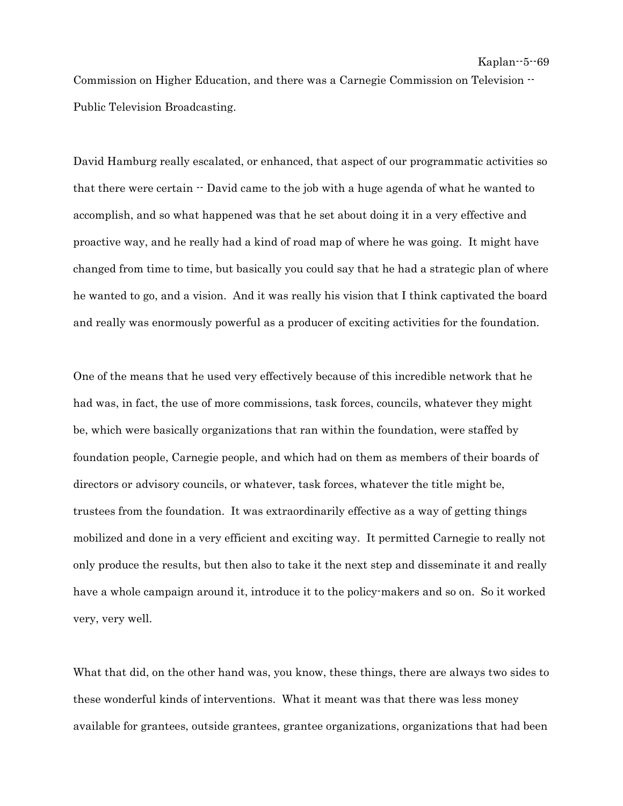Commission on Higher Education, and there was a Carnegie Commission on Television -- Public Television Broadcasting.

David Hamburg really escalated, or enhanced, that aspect of our programmatic activities so that there were certain  $\cdot \cdot$  David came to the job with a huge agenda of what he wanted to accomplish, and so what happened was that he set about doing it in a very effective and proactive way, and he really had a kind of road map of where he was going. It might have changed from time to time, but basically you could say that he had a strategic plan of where he wanted to go, and a vision. And it was really his vision that I think captivated the board and really was enormously powerful as a producer of exciting activities for the foundation.

One of the means that he used very effectively because of this incredible network that he had was, in fact, the use of more commissions, task forces, councils, whatever they might be, which were basically organizations that ran within the foundation, were staffed by foundation people, Carnegie people, and which had on them as members of their boards of directors or advisory councils, or whatever, task forces, whatever the title might be, trustees from the foundation. It was extraordinarily effective as a way of getting things mobilized and done in a very efficient and exciting way. It permitted Carnegie to really not only produce the results, but then also to take it the next step and disseminate it and really have a whole campaign around it, introduce it to the policy-makers and so on. So it worked very, very well.

What that did, on the other hand was, you know, these things, there are always two sides to these wonderful kinds of interventions. What it meant was that there was less money available for grantees, outside grantees, grantee organizations, organizations that had been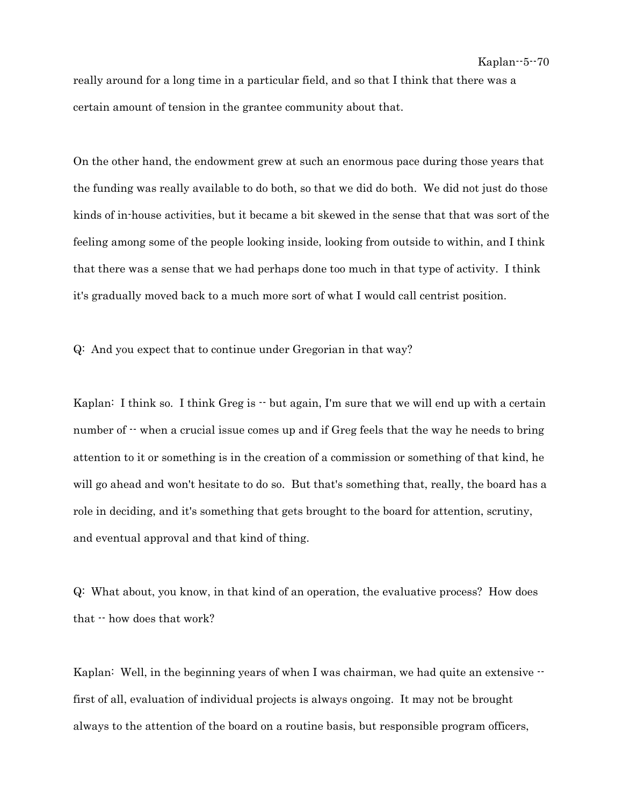really around for a long time in a particular field, and so that I think that there was a certain amount of tension in the grantee community about that.

On the other hand, the endowment grew at such an enormous pace during those years that the funding was really available to do both, so that we did do both. We did not just do those kinds of in-house activities, but it became a bit skewed in the sense that that was sort of the feeling among some of the people looking inside, looking from outside to within, and I think that there was a sense that we had perhaps done too much in that type of activity. I think it's gradually moved back to a much more sort of what I would call centrist position.

Q: And you expect that to continue under Gregorian in that way?

Kaplan: I think so. I think Greg is  $\cdot \cdot$  but again, I'm sure that we will end up with a certain number of  $\cdot$  when a crucial issue comes up and if Greg feels that the way he needs to bring attention to it or something is in the creation of a commission or something of that kind, he will go ahead and won't hesitate to do so. But that's something that, really, the board has a role in deciding, and it's something that gets brought to the board for attention, scrutiny, and eventual approval and that kind of thing.

Q: What about, you know, in that kind of an operation, the evaluative process? How does that -- how does that work?

Kaplan: Well, in the beginning years of when I was chairman, we had quite an extensive  $\cdot$ first of all, evaluation of individual projects is always ongoing. It may not be brought always to the attention of the board on a routine basis, but responsible program officers,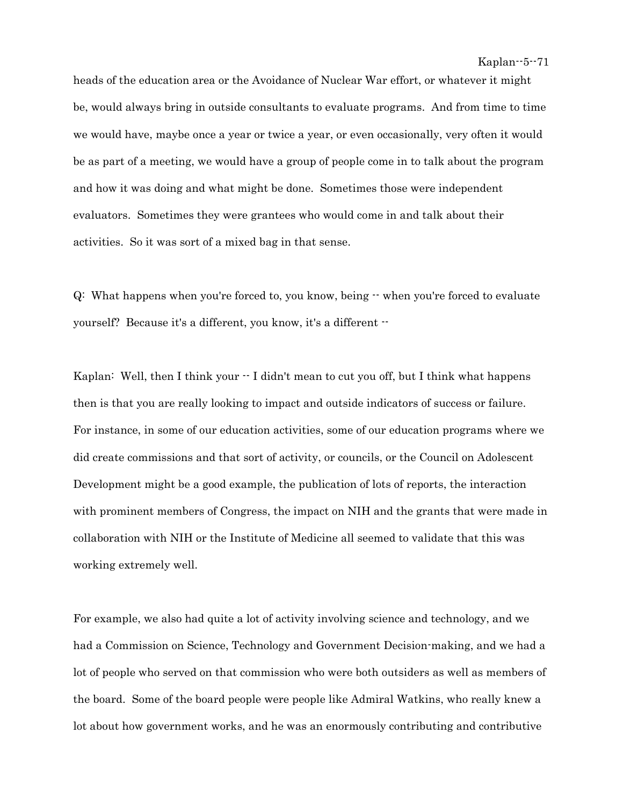heads of the education area or the Avoidance of Nuclear War effort, or whatever it might be, would always bring in outside consultants to evaluate programs. And from time to time we would have, maybe once a year or twice a year, or even occasionally, very often it would be as part of a meeting, we would have a group of people come in to talk about the program and how it was doing and what might be done. Sometimes those were independent evaluators. Sometimes they were grantees who would come in and talk about their activities. So it was sort of a mixed bag in that sense.

Q: What happens when you're forced to, you know, being -- when you're forced to evaluate yourself? Because it's a different, you know, it's a different --

Kaplan: Well, then I think your  $\cdot$  I didn't mean to cut you off, but I think what happens then is that you are really looking to impact and outside indicators of success or failure. For instance, in some of our education activities, some of our education programs where we did create commissions and that sort of activity, or councils, or the Council on Adolescent Development might be a good example, the publication of lots of reports, the interaction with prominent members of Congress, the impact on NIH and the grants that were made in collaboration with NIH or the Institute of Medicine all seemed to validate that this was working extremely well.

For example, we also had quite a lot of activity involving science and technology, and we had a Commission on Science, Technology and Government Decision-making, and we had a lot of people who served on that commission who were both outsiders as well as members of the board. Some of the board people were people like Admiral Watkins, who really knew a lot about how government works, and he was an enormously contributing and contributive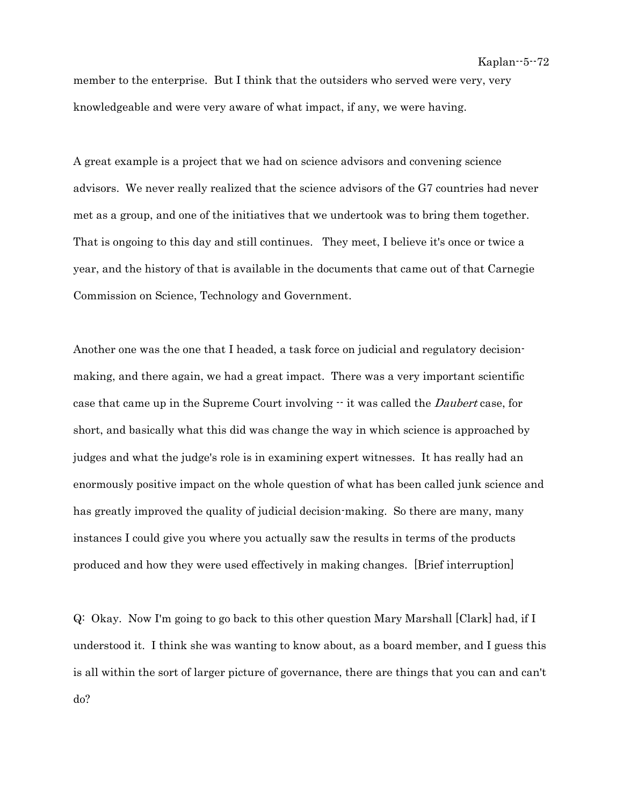member to the enterprise. But I think that the outsiders who served were very, very knowledgeable and were very aware of what impact, if any, we were having.

A great example is a project that we had on science advisors and convening science advisors. We never really realized that the science advisors of the G7 countries had never met as a group, and one of the initiatives that we undertook was to bring them together. That is ongoing to this day and still continues. They meet, I believe it's once or twice a year, and the history of that is available in the documents that came out of that Carnegie Commission on Science, Technology and Government.

Another one was the one that I headed, a task force on judicial and regulatory decisionmaking, and there again, we had a great impact. There was a very important scientific case that came up in the Supreme Court involving  $\cdot \cdot$  it was called the *Daubert* case, for short, and basically what this did was change the way in which science is approached by judges and what the judge's role is in examining expert witnesses. It has really had an enormously positive impact on the whole question of what has been called junk science and has greatly improved the quality of judicial decision-making. So there are many, many instances I could give you where you actually saw the results in terms of the products produced and how they were used effectively in making changes. [Brief interruption]

Q: Okay. Now I'm going to go back to this other question Mary Marshall [Clark] had, if I understood it. I think she was wanting to know about, as a board member, and I guess this is all within the sort of larger picture of governance, there are things that you can and can't do?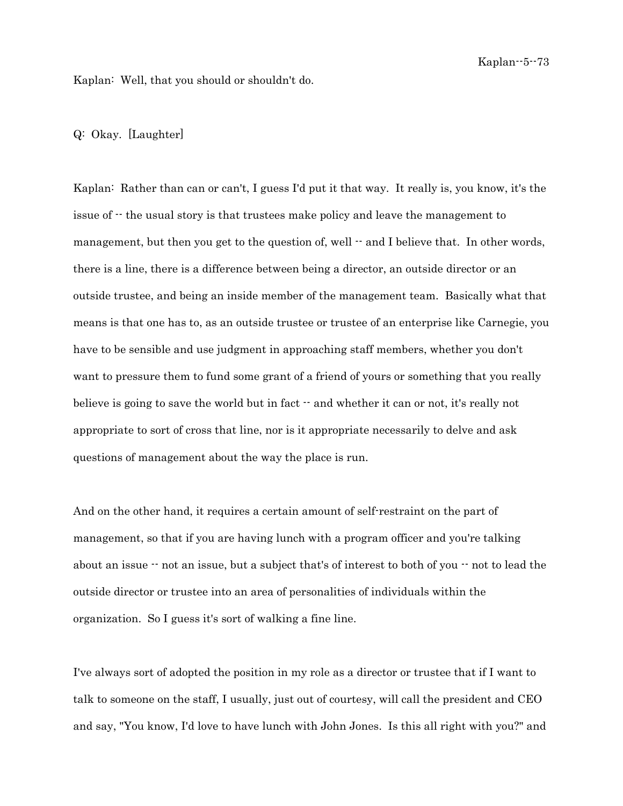Kaplan: Well, that you should or shouldn't do.

## Q: Okay. [Laughter]

Kaplan: Rather than can or can't, I guess I'd put it that way. It really is, you know, it's the issue of -- the usual story is that trustees make policy and leave the management to management, but then you get to the question of, well  $-$  and I believe that. In other words, there is a line, there is a difference between being a director, an outside director or an outside trustee, and being an inside member of the management team. Basically what that means is that one has to, as an outside trustee or trustee of an enterprise like Carnegie, you have to be sensible and use judgment in approaching staff members, whether you don't want to pressure them to fund some grant of a friend of yours or something that you really believe is going to save the world but in fact  $-$  and whether it can or not, it's really not appropriate to sort of cross that line, nor is it appropriate necessarily to delve and ask questions of management about the way the place is run.

And on the other hand, it requires a certain amount of self-restraint on the part of management, so that if you are having lunch with a program officer and you're talking about an issue  $\cdot$  not an issue, but a subject that's of interest to both of you  $\cdot$  not to lead the outside director or trustee into an area of personalities of individuals within the organization. So I guess it's sort of walking a fine line.

I've always sort of adopted the position in my role as a director or trustee that if I want to talk to someone on the staff, I usually, just out of courtesy, will call the president and CEO and say, "You know, I'd love to have lunch with John Jones. Is this all right with you?" and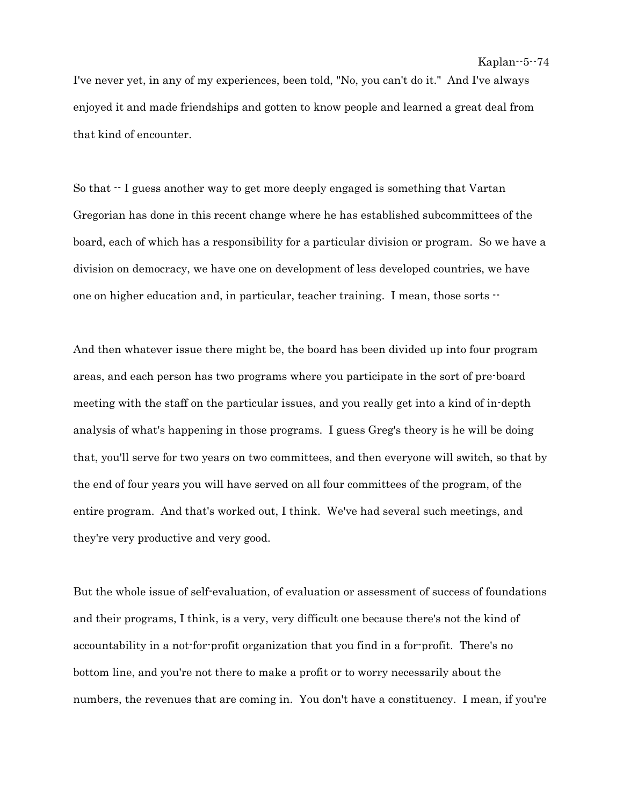I've never yet, in any of my experiences, been told, "No, you can't do it." And I've always enjoyed it and made friendships and gotten to know people and learned a great deal from that kind of encounter.

So that -- I guess another way to get more deeply engaged is something that Vartan Gregorian has done in this recent change where he has established subcommittees of the board, each of which has a responsibility for a particular division or program. So we have a division on democracy, we have one on development of less developed countries, we have one on higher education and, in particular, teacher training. I mean, those sorts --

And then whatever issue there might be, the board has been divided up into four program areas, and each person has two programs where you participate in the sort of pre-board meeting with the staff on the particular issues, and you really get into a kind of in-depth analysis of what's happening in those programs. I guess Greg's theory is he will be doing that, you'll serve for two years on two committees, and then everyone will switch, so that by the end of four years you will have served on all four committees of the program, of the entire program. And that's worked out, I think. We've had several such meetings, and they're very productive and very good.

But the whole issue of self-evaluation, of evaluation or assessment of success of foundations and their programs, I think, is a very, very difficult one because there's not the kind of accountability in a not-for-profit organization that you find in a for-profit. There's no bottom line, and you're not there to make a profit or to worry necessarily about the numbers, the revenues that are coming in. You don't have a constituency. I mean, if you're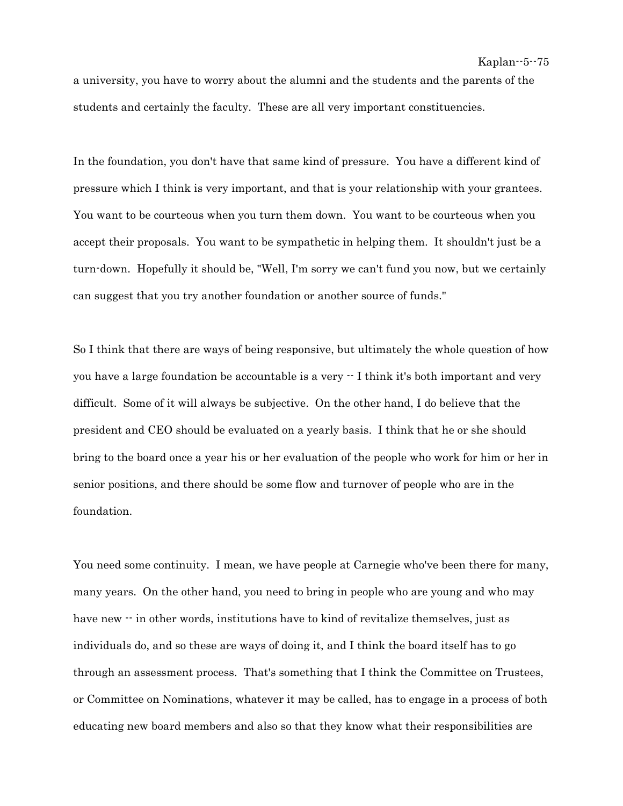a university, you have to worry about the alumni and the students and the parents of the students and certainly the faculty. These are all very important constituencies.

In the foundation, you don't have that same kind of pressure. You have a different kind of pressure which I think is very important, and that is your relationship with your grantees. You want to be courteous when you turn them down. You want to be courteous when you accept their proposals. You want to be sympathetic in helping them. It shouldn't just be a turn-down. Hopefully it should be, "Well, I'm sorry we can't fund you now, but we certainly can suggest that you try another foundation or another source of funds."

So I think that there are ways of being responsive, but ultimately the whole question of how you have a large foundation be accountable is a very  $\cdot$  I think it's both important and very difficult. Some of it will always be subjective. On the other hand, I do believe that the president and CEO should be evaluated on a yearly basis. I think that he or she should bring to the board once a year his or her evaluation of the people who work for him or her in senior positions, and there should be some flow and turnover of people who are in the foundation.

You need some continuity. I mean, we have people at Carnegie who've been there for many, many years. On the other hand, you need to bring in people who are young and who may have new  $\cdot$  in other words, institutions have to kind of revitalize themselves, just as individuals do, and so these are ways of doing it, and I think the board itself has to go through an assessment process. That's something that I think the Committee on Trustees, or Committee on Nominations, whatever it may be called, has to engage in a process of both educating new board members and also so that they know what their responsibilities are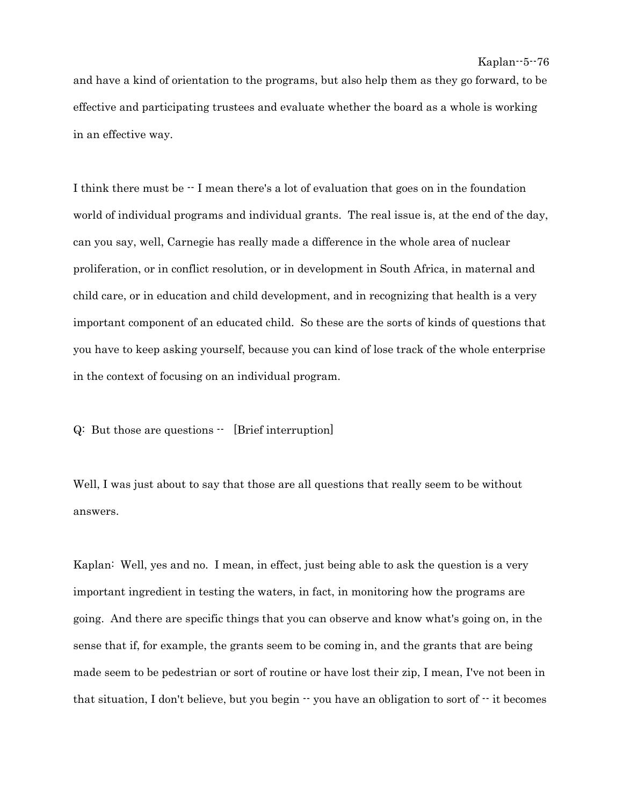and have a kind of orientation to the programs, but also help them as they go forward, to be effective and participating trustees and evaluate whether the board as a whole is working in an effective way.

I think there must be -- I mean there's a lot of evaluation that goes on in the foundation world of individual programs and individual grants. The real issue is, at the end of the day, can you say, well, Carnegie has really made a difference in the whole area of nuclear proliferation, or in conflict resolution, or in development in South Africa, in maternal and child care, or in education and child development, and in recognizing that health is a very important component of an educated child. So these are the sorts of kinds of questions that you have to keep asking yourself, because you can kind of lose track of the whole enterprise in the context of focusing on an individual program.

Q: But those are questions  $\cdot$  [Brief interruption]

Well, I was just about to say that those are all questions that really seem to be without answers.

Kaplan: Well, yes and no. I mean, in effect, just being able to ask the question is a very important ingredient in testing the waters, in fact, in monitoring how the programs are going. And there are specific things that you can observe and know what's going on, in the sense that if, for example, the grants seem to be coming in, and the grants that are being made seem to be pedestrian or sort of routine or have lost their zip, I mean, I've not been in that situation, I don't believe, but you begin  $\cdot \cdot$  you have an obligation to sort of  $\cdot \cdot$  it becomes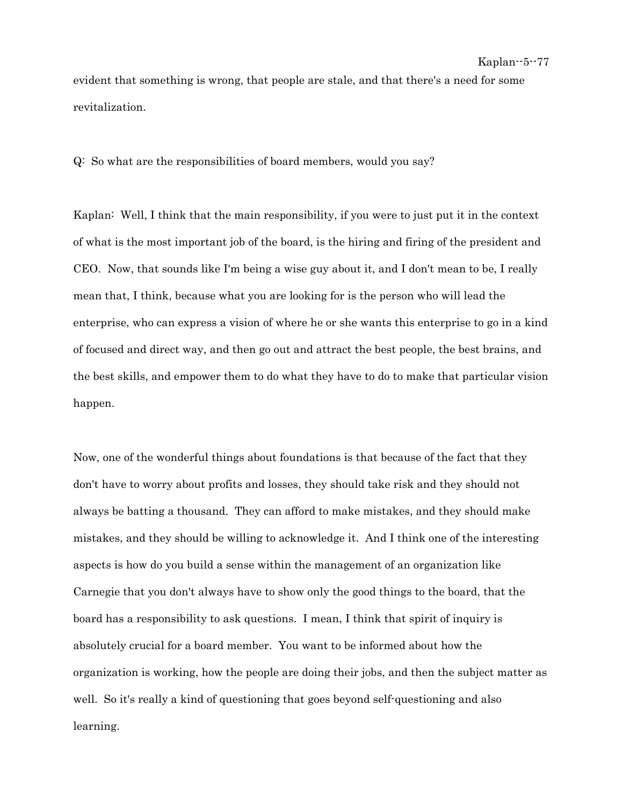evident that something is wrong, that people are stale, and that there's a need for some revitalization.

Q: So what are the responsibilities of board members, would you say?

Kaplan: Well, I think that the main responsibility, if you were to just put it in the context of what is the most important job of the board, is the hiring and firing of the president and CEO. Now, that sounds like I'm being a wise guy about it, and I don't mean to be, I really mean that, I think, because what you are looking for is the person who will lead the enterprise, who can express a vision of where he or she wants this enterprise to go in a kind of focused and direct way, and then go out and attract the best people, the best brains, and the best skills, and empower them to do what they have to do to make that particular vision happen.

Now, one of the wonderful things about foundations is that because of the fact that they don't have to worry about profits and losses, they should take risk and they should not always be batting a thousand. They can afford to make mistakes, and they should make mistakes, and they should be willing to acknowledge it. And I think one of the interesting aspects is how do you build a sense within the management of an organization like Carnegie that you don't always have to show only the good things to the board, that the board has a responsibility to ask questions. I mean, I think that spirit of inquiry is absolutely crucial for a board member. You want to be informed about how the organization is working, how the people are doing their jobs, and then the subject matter as well. So it's really a kind of questioning that goes beyond self-questioning and also learning.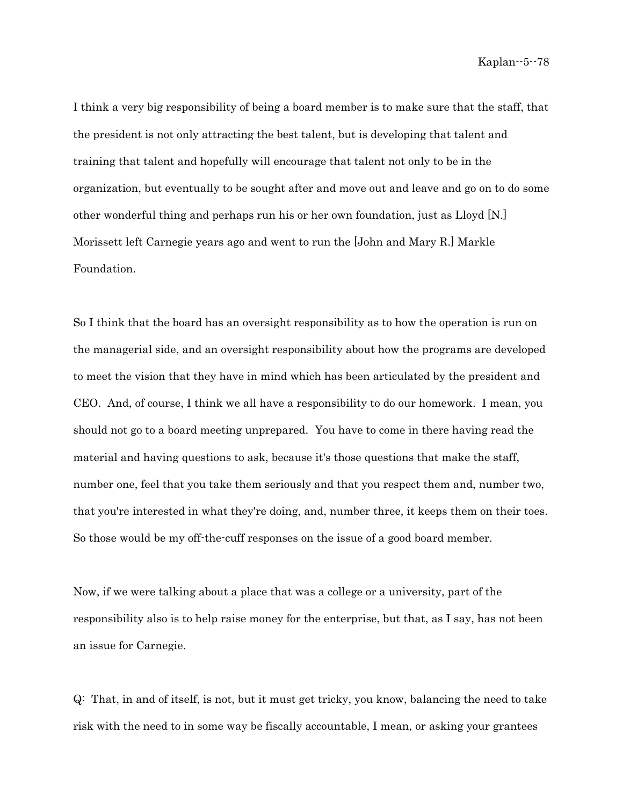I think a very big responsibility of being a board member is to make sure that the staff, that the president is not only attracting the best talent, but is developing that talent and training that talent and hopefully will encourage that talent not only to be in the organization, but eventually to be sought after and move out and leave and go on to do some other wonderful thing and perhaps run his or her own foundation, just as Lloyd [N.] Morissett left Carnegie years ago and went to run the [John and Mary R.] Markle Foundation.

So I think that the board has an oversight responsibility as to how the operation is run on the managerial side, and an oversight responsibility about how the programs are developed to meet the vision that they have in mind which has been articulated by the president and CEO. And, of course, I think we all have a responsibility to do our homework. I mean, you should not go to a board meeting unprepared. You have to come in there having read the material and having questions to ask, because it's those questions that make the staff, number one, feel that you take them seriously and that you respect them and, number two, that you're interested in what they're doing, and, number three, it keeps them on their toes. So those would be my off-the-cuff responses on the issue of a good board member.

Now, if we were talking about a place that was a college or a university, part of the responsibility also is to help raise money for the enterprise, but that, as I say, has not been an issue for Carnegie.

Q: That, in and of itself, is not, but it must get tricky, you know, balancing the need to take risk with the need to in some way be fiscally accountable, I mean, or asking your grantees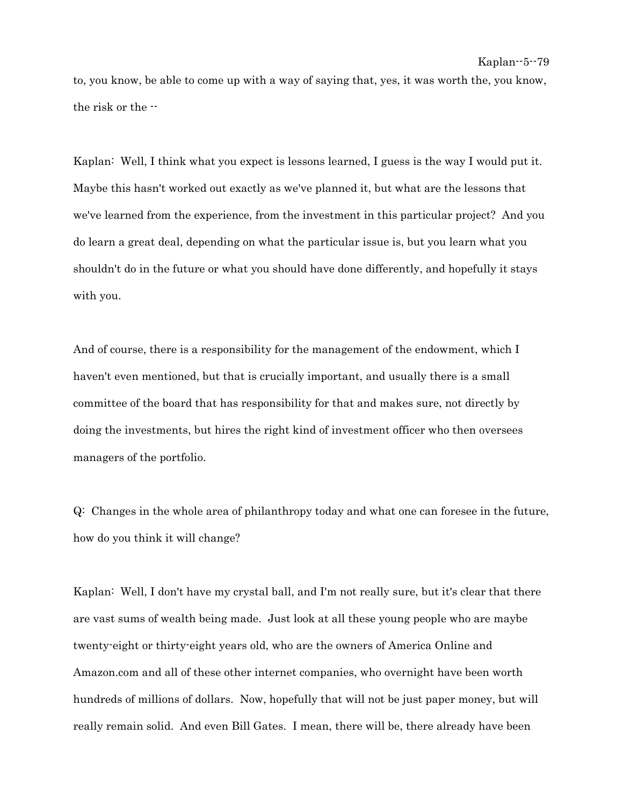to, you know, be able to come up with a way of saying that, yes, it was worth the, you know, the risk or the --

Kaplan: Well, I think what you expect is lessons learned, I guess is the way I would put it. Maybe this hasn't worked out exactly as we've planned it, but what are the lessons that we've learned from the experience, from the investment in this particular project? And you do learn a great deal, depending on what the particular issue is, but you learn what you shouldn't do in the future or what you should have done differently, and hopefully it stays with you.

And of course, there is a responsibility for the management of the endowment, which I haven't even mentioned, but that is crucially important, and usually there is a small committee of the board that has responsibility for that and makes sure, not directly by doing the investments, but hires the right kind of investment officer who then oversees managers of the portfolio.

Q: Changes in the whole area of philanthropy today and what one can foresee in the future, how do you think it will change?

Kaplan: Well, I don't have my crystal ball, and I'm not really sure, but it's clear that there are vast sums of wealth being made. Just look at all these young people who are maybe twenty-eight or thirty-eight years old, who are the owners of America Online and Amazon.com and all of these other internet companies, who overnight have been worth hundreds of millions of dollars. Now, hopefully that will not be just paper money, but will really remain solid. And even Bill Gates. I mean, there will be, there already have been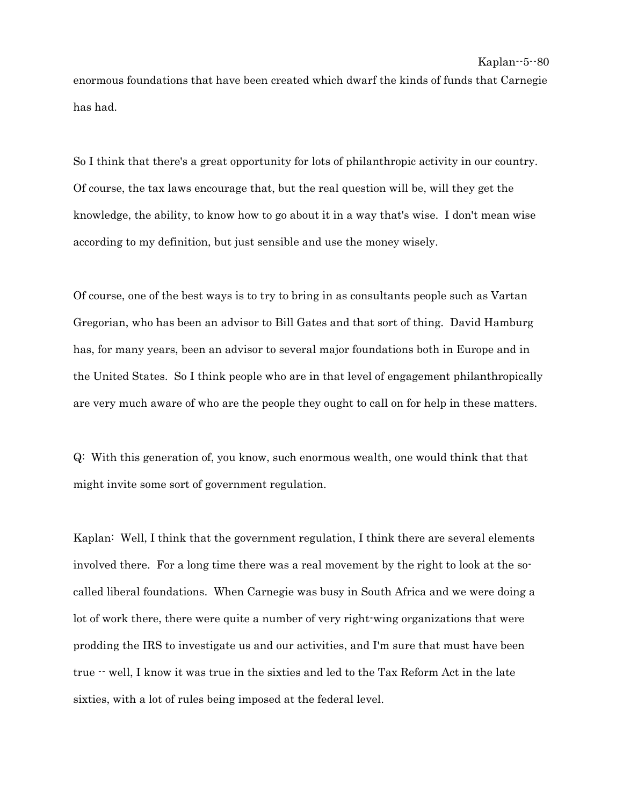enormous foundations that have been created which dwarf the kinds of funds that Carnegie has had.

So I think that there's a great opportunity for lots of philanthropic activity in our country. Of course, the tax laws encourage that, but the real question will be, will they get the knowledge, the ability, to know how to go about it in a way that's wise. I don't mean wise according to my definition, but just sensible and use the money wisely.

Of course, one of the best ways is to try to bring in as consultants people such as Vartan Gregorian, who has been an advisor to Bill Gates and that sort of thing. David Hamburg has, for many years, been an advisor to several major foundations both in Europe and in the United States. So I think people who are in that level of engagement philanthropically are very much aware of who are the people they ought to call on for help in these matters.

Q: With this generation of, you know, such enormous wealth, one would think that that might invite some sort of government regulation.

Kaplan: Well, I think that the government regulation, I think there are several elements involved there. For a long time there was a real movement by the right to look at the socalled liberal foundations. When Carnegie was busy in South Africa and we were doing a lot of work there, there were quite a number of very right-wing organizations that were prodding the IRS to investigate us and our activities, and I'm sure that must have been true -- well, I know it was true in the sixties and led to the Tax Reform Act in the late sixties, with a lot of rules being imposed at the federal level.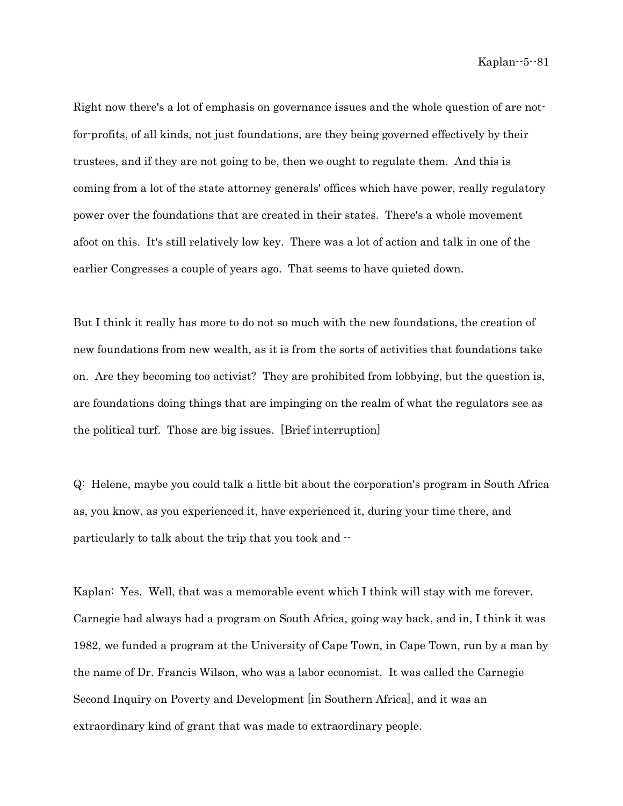Right now there's a lot of emphasis on governance issues and the whole question of are notfor-profits, of all kinds, not just foundations, are they being governed effectively by their trustees, and if they are not going to be, then we ought to regulate them. And this is coming from a lot of the state attorney generals' offices which have power, really regulatory power over the foundations that are created in their states. There's a whole movement afoot on this. It's still relatively low key. There was a lot of action and talk in one of the earlier Congresses a couple of years ago. That seems to have quieted down.

But I think it really has more to do not so much with the new foundations, the creation of new foundations from new wealth, as it is from the sorts of activities that foundations take on. Are they becoming too activist? They are prohibited from lobbying, but the question is, are foundations doing things that are impinging on the realm of what the regulators see as the political turf. Those are big issues. [Brief interruption]

Q: Helene, maybe you could talk a little bit about the corporation's program in South Africa as, you know, as you experienced it, have experienced it, during your time there, and particularly to talk about the trip that you took and --

Kaplan: Yes. Well, that was a memorable event which I think will stay with me forever. Carnegie had always had a program on South Africa, going way back, and in, I think it was 1982, we funded a program at the University of Cape Town, in Cape Town, run by a man by the name of Dr. Francis Wilson, who was a labor economist. It was called the Carnegie Second Inquiry on Poverty and Development [in Southern Africa], and it was an extraordinary kind of grant that was made to extraordinary people.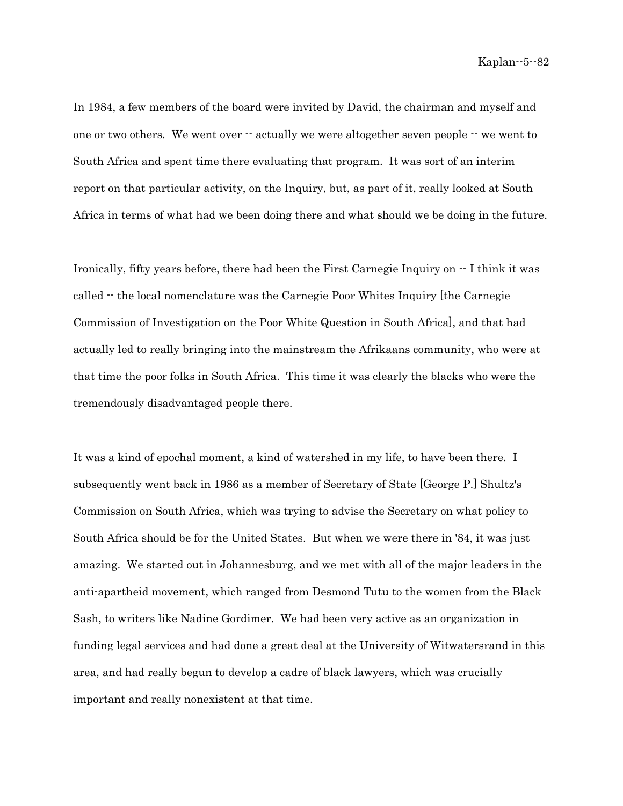In 1984, a few members of the board were invited by David, the chairman and myself and one or two others. We went over  $\cdot\cdot$  actually we were altogether seven people  $\cdot\cdot$  we went to South Africa and spent time there evaluating that program. It was sort of an interim report on that particular activity, on the Inquiry, but, as part of it, really looked at South Africa in terms of what had we been doing there and what should we be doing in the future.

Ironically, fifty years before, there had been the First Carnegie Inquiry on -- I think it was called -- the local nomenclature was the Carnegie Poor Whites Inquiry [the Carnegie Commission of Investigation on the Poor White Question in South Africa], and that had actually led to really bringing into the mainstream the Afrikaans community, who were at that time the poor folks in South Africa. This time it was clearly the blacks who were the tremendously disadvantaged people there.

It was a kind of epochal moment, a kind of watershed in my life, to have been there. I subsequently went back in 1986 as a member of Secretary of State [George P.] Shultz's Commission on South Africa, which was trying to advise the Secretary on what policy to South Africa should be for the United States. But when we were there in '84, it was just amazing. We started out in Johannesburg, and we met with all of the major leaders in the anti-apartheid movement, which ranged from Desmond Tutu to the women from the Black Sash, to writers like Nadine Gordimer. We had been very active as an organization in funding legal services and had done a great deal at the University of Witwatersrand in this area, and had really begun to develop a cadre of black lawyers, which was crucially important and really nonexistent at that time.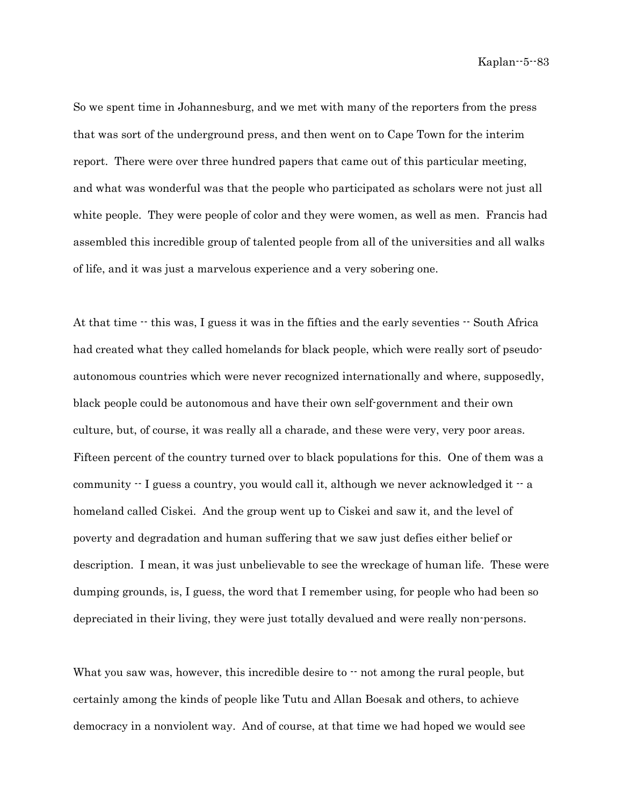So we spent time in Johannesburg, and we met with many of the reporters from the press that was sort of the underground press, and then went on to Cape Town for the interim report. There were over three hundred papers that came out of this particular meeting, and what was wonderful was that the people who participated as scholars were not just all white people. They were people of color and they were women, as well as men. Francis had assembled this incredible group of talented people from all of the universities and all walks of life, and it was just a marvelous experience and a very sobering one.

At that time  $\cdot$  this was, I guess it was in the fifties and the early seventies  $\cdot$  South Africa had created what they called homelands for black people, which were really sort of pseudoautonomous countries which were never recognized internationally and where, supposedly, black people could be autonomous and have their own self-government and their own culture, but, of course, it was really all a charade, and these were very, very poor areas. Fifteen percent of the country turned over to black populations for this. One of them was a community  $\cdot$  I guess a country, you would call it, although we never acknowledged it  $\cdot$  a homeland called Ciskei. And the group went up to Ciskei and saw it, and the level of poverty and degradation and human suffering that we saw just defies either belief or description. I mean, it was just unbelievable to see the wreckage of human life. These were dumping grounds, is, I guess, the word that I remember using, for people who had been so depreciated in their living, they were just totally devalued and were really non-persons.

What you saw was, however, this incredible desire to  $\cdot$  not among the rural people, but certainly among the kinds of people like Tutu and Allan Boesak and others, to achieve democracy in a nonviolent way. And of course, at that time we had hoped we would see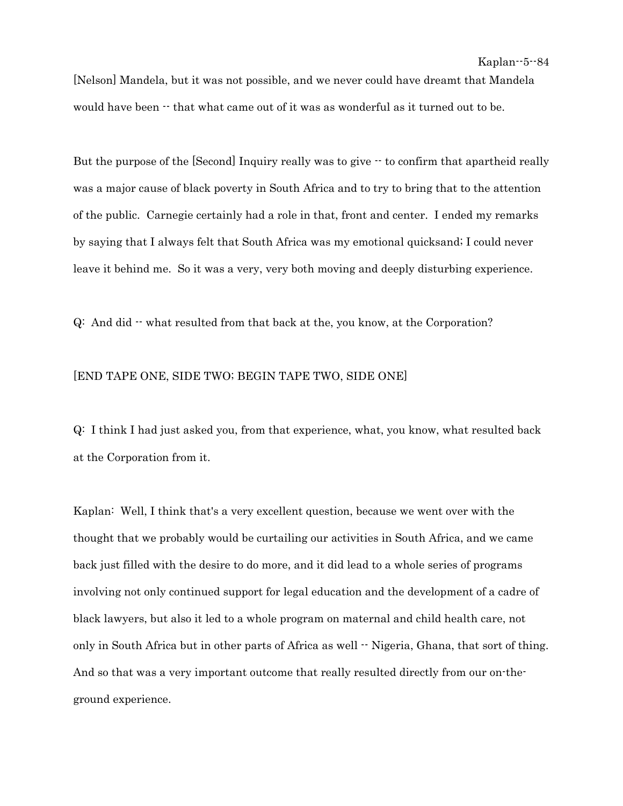[Nelson] Mandela, but it was not possible, and we never could have dreamt that Mandela would have been  $\cdot\cdot$  that what came out of it was as wonderful as it turned out to be.

But the purpose of the [Second] Inquiry really was to give  $\cdot\cdot$  to confirm that apartheid really was a major cause of black poverty in South Africa and to try to bring that to the attention of the public. Carnegie certainly had a role in that, front and center. I ended my remarks by saying that I always felt that South Africa was my emotional quicksand; I could never leave it behind me. So it was a very, very both moving and deeply disturbing experience.

 $Q:$  And did  $\cdot$  what resulted from that back at the, you know, at the Corporation?

## [END TAPE ONE, SIDE TWO; BEGIN TAPE TWO, SIDE ONE]

Q: I think I had just asked you, from that experience, what, you know, what resulted back at the Corporation from it.

Kaplan: Well, I think that's a very excellent question, because we went over with the thought that we probably would be curtailing our activities in South Africa, and we came back just filled with the desire to do more, and it did lead to a whole series of programs involving not only continued support for legal education and the development of a cadre of black lawyers, but also it led to a whole program on maternal and child health care, not only in South Africa but in other parts of Africa as well  $\cdot$  Nigeria, Ghana, that sort of thing. And so that was a very important outcome that really resulted directly from our on-theground experience.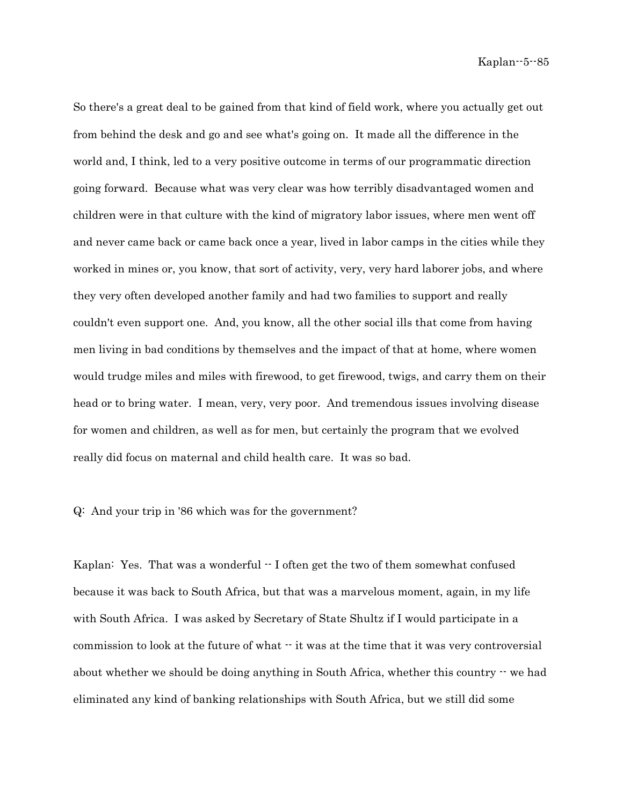So there's a great deal to be gained from that kind of field work, where you actually get out from behind the desk and go and see what's going on. It made all the difference in the world and, I think, led to a very positive outcome in terms of our programmatic direction going forward. Because what was very clear was how terribly disadvantaged women and children were in that culture with the kind of migratory labor issues, where men went off and never came back or came back once a year, lived in labor camps in the cities while they worked in mines or, you know, that sort of activity, very, very hard laborer jobs, and where they very often developed another family and had two families to support and really couldn't even support one. And, you know, all the other social ills that come from having men living in bad conditions by themselves and the impact of that at home, where women would trudge miles and miles with firewood, to get firewood, twigs, and carry them on their head or to bring water. I mean, very, very poor. And tremendous issues involving disease for women and children, as well as for men, but certainly the program that we evolved really did focus on maternal and child health care. It was so bad.

Q: And your trip in '86 which was for the government?

Kaplan: Yes. That was a wonderful  $\cdot$  I often get the two of them somewhat confused because it was back to South Africa, but that was a marvelous moment, again, in my life with South Africa. I was asked by Secretary of State Shultz if I would participate in a commission to look at the future of what  $\cdot \cdot$  it was at the time that it was very controversial about whether we should be doing anything in South Africa, whether this country  $-$  we had eliminated any kind of banking relationships with South Africa, but we still did some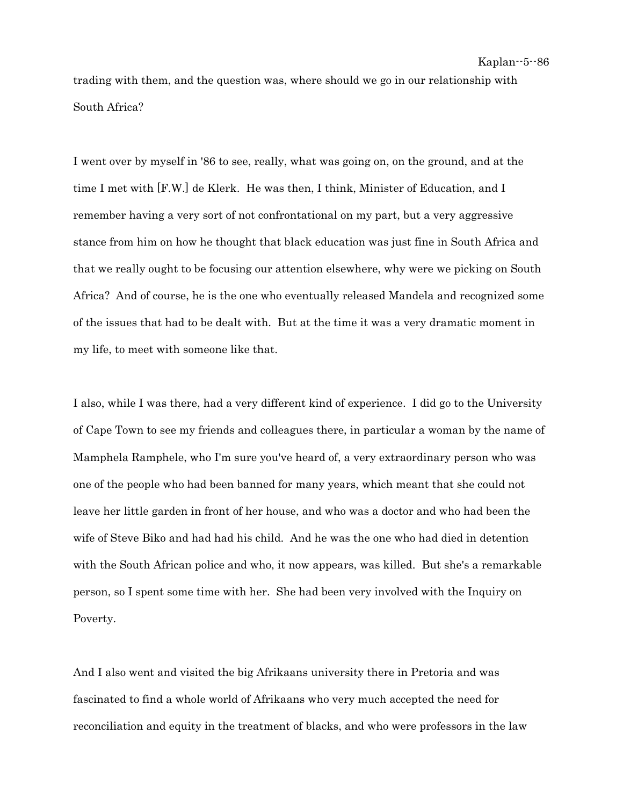trading with them, and the question was, where should we go in our relationship with South Africa?

I went over by myself in '86 to see, really, what was going on, on the ground, and at the time I met with [F.W.] de Klerk. He was then, I think, Minister of Education, and I remember having a very sort of not confrontational on my part, but a very aggressive stance from him on how he thought that black education was just fine in South Africa and that we really ought to be focusing our attention elsewhere, why were we picking on South Africa? And of course, he is the one who eventually released Mandela and recognized some of the issues that had to be dealt with. But at the time it was a very dramatic moment in my life, to meet with someone like that.

I also, while I was there, had a very different kind of experience. I did go to the University of Cape Town to see my friends and colleagues there, in particular a woman by the name of Mamphela Ramphele, who I'm sure you've heard of, a very extraordinary person who was one of the people who had been banned for many years, which meant that she could not leave her little garden in front of her house, and who was a doctor and who had been the wife of Steve Biko and had had his child. And he was the one who had died in detention with the South African police and who, it now appears, was killed. But she's a remarkable person, so I spent some time with her. She had been very involved with the Inquiry on Poverty.

And I also went and visited the big Afrikaans university there in Pretoria and was fascinated to find a whole world of Afrikaans who very much accepted the need for reconciliation and equity in the treatment of blacks, and who were professors in the law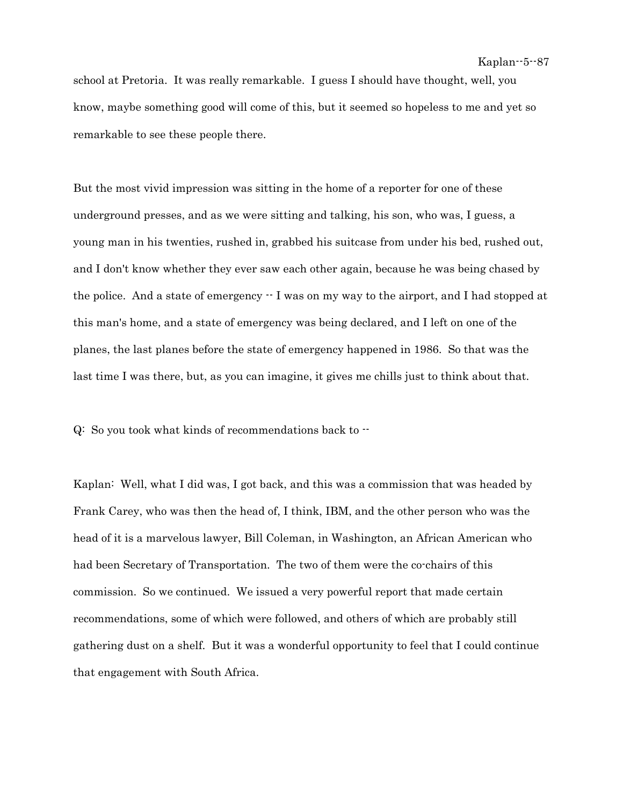school at Pretoria. It was really remarkable. I guess I should have thought, well, you know, maybe something good will come of this, but it seemed so hopeless to me and yet so remarkable to see these people there.

But the most vivid impression was sitting in the home of a reporter for one of these underground presses, and as we were sitting and talking, his son, who was, I guess, a young man in his twenties, rushed in, grabbed his suitcase from under his bed, rushed out, and I don't know whether they ever saw each other again, because he was being chased by the police. And a state of emergency  $\cdot$  I was on my way to the airport, and I had stopped at this man's home, and a state of emergency was being declared, and I left on one of the planes, the last planes before the state of emergency happened in 1986. So that was the last time I was there, but, as you can imagine, it gives me chills just to think about that.

Q: So you took what kinds of recommendations back to --

Kaplan: Well, what I did was, I got back, and this was a commission that was headed by Frank Carey, who was then the head of, I think, IBM, and the other person who was the head of it is a marvelous lawyer, Bill Coleman, in Washington, an African American who had been Secretary of Transportation. The two of them were the co-chairs of this commission. So we continued. We issued a very powerful report that made certain recommendations, some of which were followed, and others of which are probably still gathering dust on a shelf. But it was a wonderful opportunity to feel that I could continue that engagement with South Africa.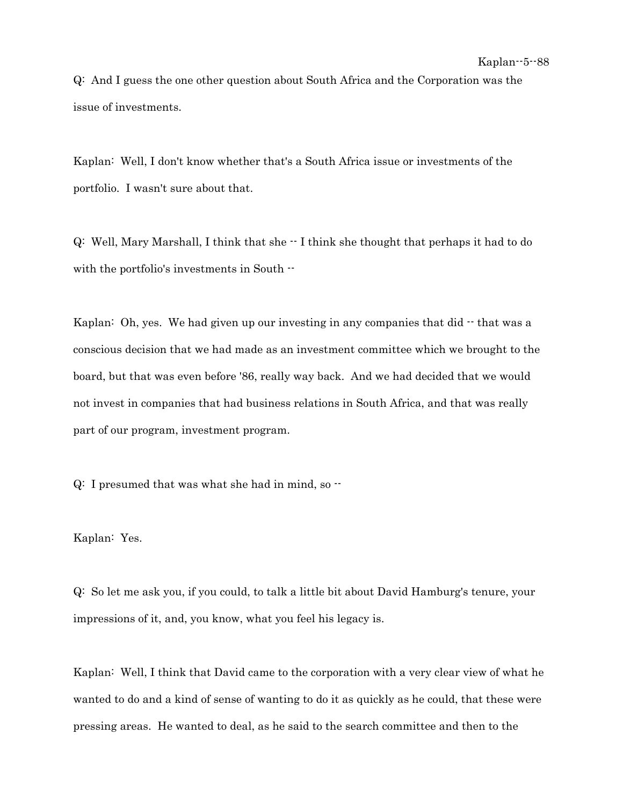Q: And I guess the one other question about South Africa and the Corporation was the issue of investments.

Kaplan: Well, I don't know whether that's a South Africa issue or investments of the portfolio. I wasn't sure about that.

Q: Well, Mary Marshall, I think that she -- I think she thought that perhaps it had to do with the portfolio's investments in South --

Kaplan: Oh, yes. We had given up our investing in any companies that did  $\cdot$  that was a conscious decision that we had made as an investment committee which we brought to the board, but that was even before '86, really way back. And we had decided that we would not invest in companies that had business relations in South Africa, and that was really part of our program, investment program.

 $Q: I$  presumed that was what she had in mind, so  $\cdot$ 

Kaplan: Yes.

Q: So let me ask you, if you could, to talk a little bit about David Hamburg's tenure, your impressions of it, and, you know, what you feel his legacy is.

Kaplan: Well, I think that David came to the corporation with a very clear view of what he wanted to do and a kind of sense of wanting to do it as quickly as he could, that these were pressing areas. He wanted to deal, as he said to the search committee and then to the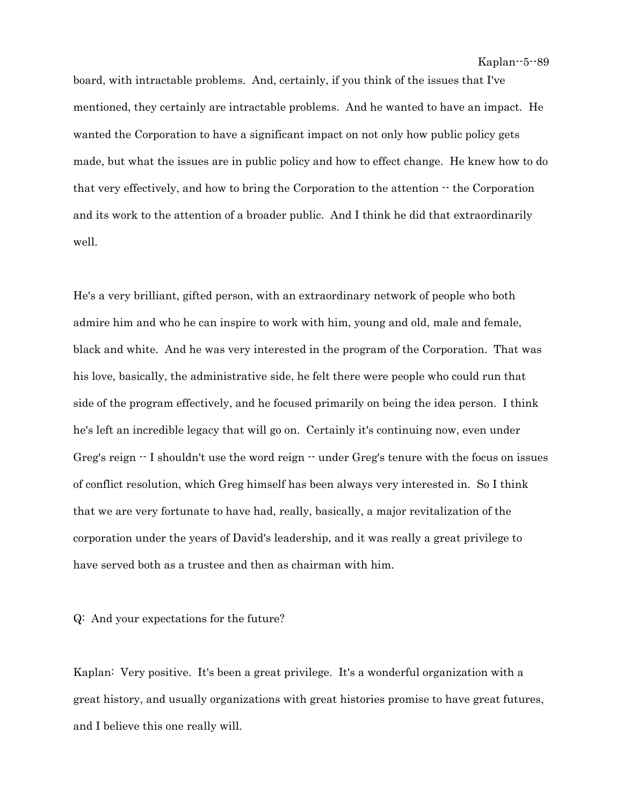board, with intractable problems. And, certainly, if you think of the issues that I've mentioned, they certainly are intractable problems. And he wanted to have an impact. He wanted the Corporation to have a significant impact on not only how public policy gets made, but what the issues are in public policy and how to effect change. He knew how to do that very effectively, and how to bring the Corporation to the attention  $\cdot \cdot$  the Corporation and its work to the attention of a broader public. And I think he did that extraordinarily well.

He's a very brilliant, gifted person, with an extraordinary network of people who both admire him and who he can inspire to work with him, young and old, male and female, black and white. And he was very interested in the program of the Corporation. That was his love, basically, the administrative side, he felt there were people who could run that side of the program effectively, and he focused primarily on being the idea person. I think he's left an incredible legacy that will go on. Certainly it's continuing now, even under Greg's reign -- I shouldn't use the word reign -- under Greg's tenure with the focus on issues of conflict resolution, which Greg himself has been always very interested in. So I think that we are very fortunate to have had, really, basically, a major revitalization of the corporation under the years of David's leadership, and it was really a great privilege to have served both as a trustee and then as chairman with him.

Q: And your expectations for the future?

Kaplan: Very positive. It's been a great privilege. It's a wonderful organization with a great history, and usually organizations with great histories promise to have great futures, and I believe this one really will.